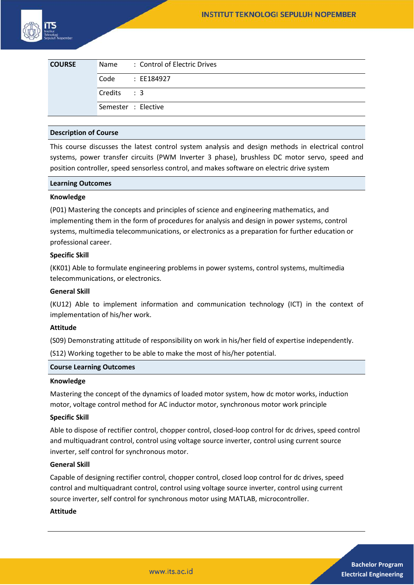| <b>COURSE</b> |                     | Name: Control of Electric Drives |
|---------------|---------------------|----------------------------------|
|               | Code                | : EE184927                       |
|               | Credits : 3         |                                  |
|               | Semester : Elective |                                  |

### **Description of Course**

This course discusses the latest control system analysis and design methods in electrical control systems, power transfer circuits (PWM Inverter 3 phase), brushless DC motor servo, speed and position controller, speed sensorless control, and makes software on electric drive system

#### **Learning Outcomes**

### **Knowledge**

(P01) Mastering the concepts and principles of science and engineering mathematics, and implementing them in the form of procedures for analysis and design in power systems, control systems, multimedia telecommunications, or electronics as a preparation for further education or professional career.

# **Specific Skill**

(KK01) Able to formulate engineering problems in power systems, control systems, multimedia telecommunications, or electronics.

#### **General Skill**

(KU12) Able to implement information and communication technology (ICT) in the context of implementation of his/her work.

# **Attitude**

(S09) Demonstrating attitude of responsibility on work in his/her field of expertise independently.

(S12) Working together to be able to make the most of his/her potential.

#### **Course Learning Outcomes**

### **Knowledge**

Mastering the concept of the dynamics of loaded motor system, how dc motor works, induction motor, voltage control method for AC inductor motor, synchronous motor work principle

### **Specific Skill**

Able to dispose of rectifier control, chopper control, closed-loop control for dc drives, speed control and multiquadrant control, control using voltage source inverter, control using current source inverter, self control for synchronous motor.

### **General Skill**

Capable of designing rectifier control, chopper control, closed loop control for dc drives, speed control and multiquadrant control, control using voltage source inverter, control using current source inverter, self control for synchronous motor using MATLAB, microcontroller.

### **Attitude**